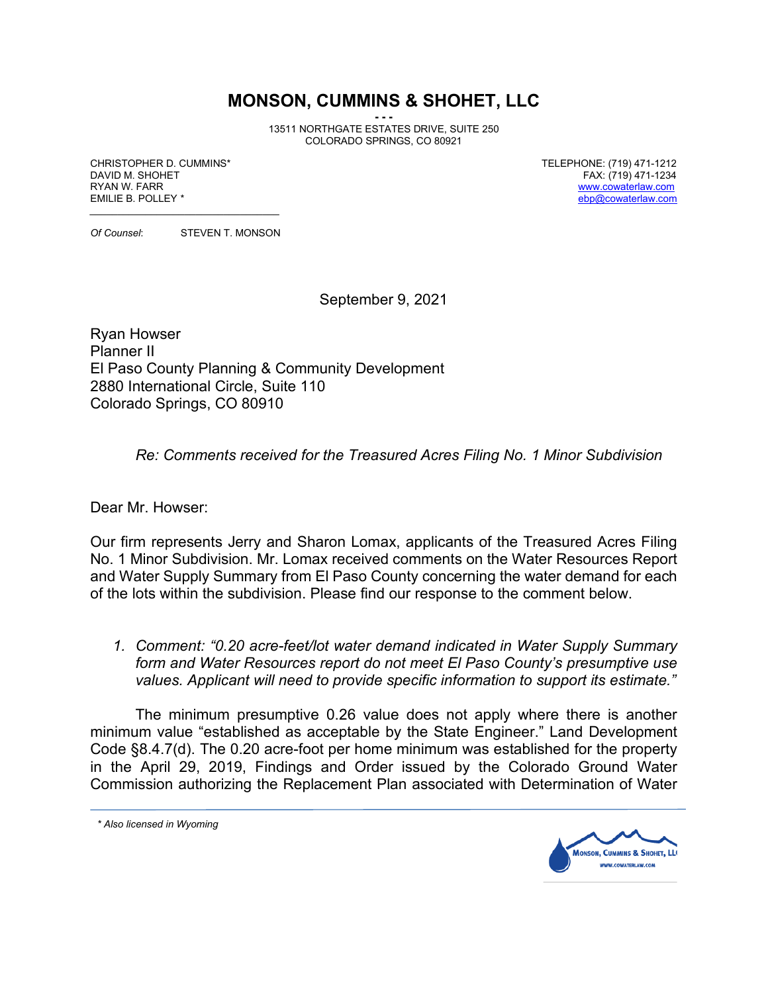## **MONSON, CUMMINS & SHOHET, LLC**

**- - -** 13511 NORTHGATE ESTATES DRIVE, SUITE 250 COLORADO SPRINGS, CO 80921

CHRISTOPHER D. CUMMINS\* TELEPHONE: (719) 471-1212 RYAN W. FARR WARREN AND THE SERVICE OF THE SERVICE OF THE SERVICE OF THE SERVICE OF THE SERVICE OF THE SERVICE OF THE SERVICE OF THE SERVICE OF THE SERVICE OF THE SERVICE OF THE SERVICE OF THE SERVICE OF THE SERVICE OF THE

FAX: (719) 471-1234  $ebp@cowaterlaw.com$ 

*\_\_\_\_\_\_\_\_\_\_\_\_\_\_\_\_\_\_\_\_\_\_\_\_\_\_\_\_\_\_\_\_\_\_ Of Counsel*: STEVEN T. MONSON

September 9, 2021

Ryan Howser Planner II El Paso County Planning & Community Development 2880 International Circle, Suite 110 Colorado Springs, CO 80910

*Re: Comments received for the Treasured Acres Filing No. 1 Minor Subdivision*

Dear Mr. Howser:

Our firm represents Jerry and Sharon Lomax, applicants of the Treasured Acres Filing No. 1 Minor Subdivision. Mr. Lomax received comments on the Water Resources Report and Water Supply Summary from El Paso County concerning the water demand for each of the lots within the subdivision. Please find our response to the comment below.

*1. Comment: "0.20 acre-feet/lot water demand indicated in Water Supply Summary form and Water Resources report do not meet El Paso County's presumptive use values. Applicant will need to provide specific information to support its estimate."*

The minimum presumptive 0.26 value does not apply where there is another minimum value "established as acceptable by the State Engineer." Land Development Code §8.4.7(d). The 0.20 acre-foot per home minimum was established for the property in the April 29, 2019, Findings and Order issued by the Colorado Ground Water Commission authorizing the Replacement Plan associated with Determination of Water

*\* Also licensed in Wyoming*